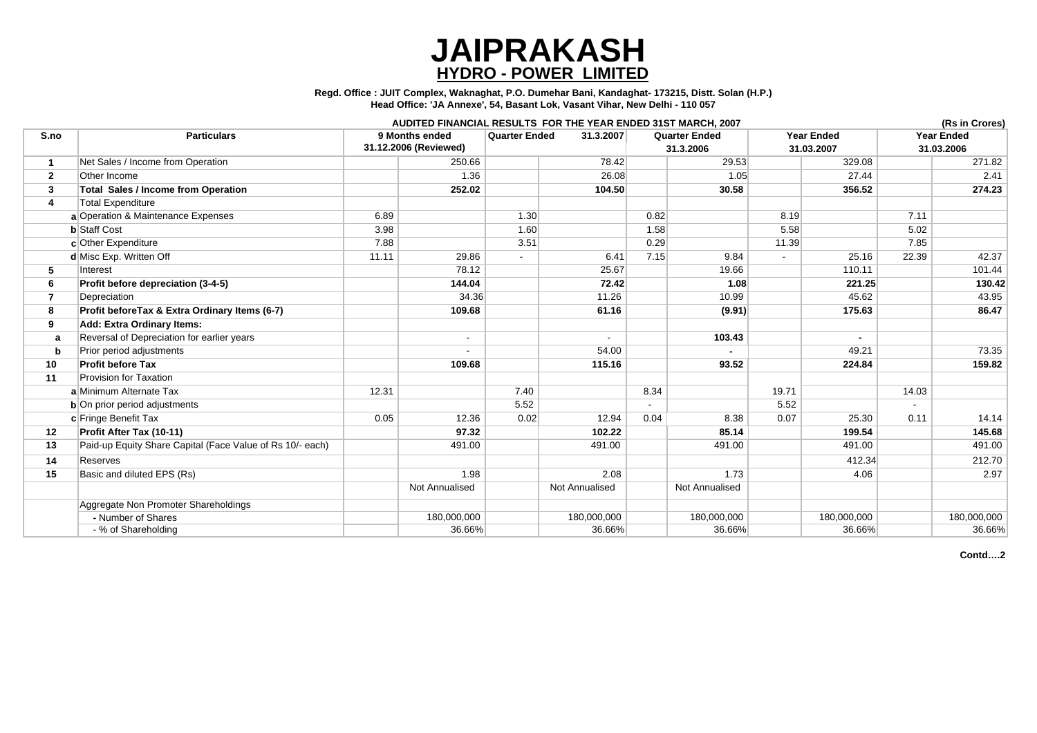|                                                           |                                         |                          |                      | AUDITED FINANCIAL RESULTS FOR THE YEAR ENDED 31ST MARCH, 2007 |                                   |                |                                 |             |                                 | (Rs in Crores) |
|-----------------------------------------------------------|-----------------------------------------|--------------------------|----------------------|---------------------------------------------------------------|-----------------------------------|----------------|---------------------------------|-------------|---------------------------------|----------------|
| <b>Particulars</b>                                        | 9 Months ended<br>31.12.2006 (Reviewed) |                          | <b>Quarter Ended</b> | 31.3.2007                                                     | <b>Quarter Ended</b><br>31.3.2006 |                | <b>Year Ended</b><br>31.03.2007 |             | <b>Year Ended</b><br>31.03.2006 |                |
|                                                           |                                         |                          |                      |                                                               |                                   |                |                                 |             |                                 |                |
| Net Sales / Income from Operation                         |                                         | 250.66                   |                      | 78.42                                                         |                                   | 29.53          |                                 | 329.08      |                                 | 271.82         |
| Other Income                                              |                                         | 1.36                     |                      | 26.08                                                         |                                   | 1.05           |                                 | 27.44       |                                 | 2.41           |
| <b>Total Sales / Income from Operation</b>                |                                         | 252.02                   |                      | 104.50                                                        |                                   | 30.58          |                                 | 356.52      |                                 | 274.23         |
| <b>Total Expenditure</b>                                  |                                         |                          |                      |                                                               |                                   |                |                                 |             |                                 |                |
| <b>Operation &amp; Maintenance Expenses</b>               | 6.89                                    |                          | 1.30                 |                                                               | 0.82                              |                | 8.19                            |             | 7.11                            |                |
| <b>Staff Cost</b>                                         | 3.98                                    |                          | 1.60                 |                                                               | 1.58                              |                | 5.58                            |             | 5.02                            |                |
| Other Expenditure                                         | 7.88                                    |                          | 3.51                 |                                                               | 0.29                              |                | 11.39                           |             | 7.85                            |                |
| Misc Exp. Written Off                                     | 11.11                                   | 29.86                    |                      | 6.41                                                          | 7.15                              | 9.84           |                                 | 25.16       | 22.39                           | 42.37          |
| Interest                                                  |                                         | 78.12                    |                      | 25.67                                                         |                                   | 19.66          |                                 | 110.11      |                                 | 101.44         |
| Profit before depreciation (3-4-5)                        |                                         | 144.04                   |                      | 72.42                                                         |                                   | 1.08           |                                 | 221.25      |                                 | 130.42         |
| Depreciation                                              |                                         | 34.36                    |                      | 11.26                                                         |                                   | 10.99          |                                 | 45.62       |                                 | 43.95          |
| Profit beforeTax & Extra Ordinary Items (6-7)             |                                         | 109.68                   |                      | 61.16                                                         |                                   | (9.91)         |                                 | 175.63      |                                 | 86.47          |
| <b>Add: Extra Ordinary Items:</b>                         |                                         |                          |                      |                                                               |                                   |                |                                 |             |                                 |                |
| Reversal of Depreciation for earlier years                |                                         | $\overline{\phantom{0}}$ |                      |                                                               |                                   | 103.43         |                                 |             |                                 |                |
| Prior period adjustments                                  |                                         |                          |                      | 54.00                                                         |                                   |                |                                 | 49.21       |                                 | 73.35          |
| <b>Profit before Tax</b>                                  |                                         | 109.68                   |                      | 115.16                                                        |                                   | 93.52          |                                 | 224.84      |                                 | 159.82         |
| <b>Provision for Taxation</b>                             |                                         |                          |                      |                                                               |                                   |                |                                 |             |                                 |                |
| Minimum Alternate Tax                                     | 12.31                                   |                          | 7.40                 |                                                               | 8.34                              |                | 19.71                           |             | 14.03                           |                |
| On prior period adjustments                               |                                         |                          | 5.52                 |                                                               |                                   |                | 5.52                            |             |                                 |                |
| Fringe Benefit Tax                                        | 0.05                                    | 12.36                    | 0.02                 | 12.94                                                         | 0.04                              | 8.38           | 0.07                            | 25.30       | 0.11                            | 14.14          |
| Profit After Tax (10-11)                                  |                                         | 97.32                    |                      | 102.22                                                        |                                   | 85.14          |                                 | 199.54      |                                 | 145.68         |
| Paid-up Equity Share Capital (Face Value of Rs 10/- each) |                                         | 491.00                   |                      | 491.00                                                        |                                   | 491.00         |                                 | 491.00      |                                 | 491.00         |
| <b>Reserves</b>                                           |                                         |                          |                      |                                                               |                                   |                |                                 | 412.34      |                                 | 212.70         |
| Basic and diluted EPS (Rs)                                |                                         | 1.98                     |                      | 2.08                                                          |                                   | 1.73           |                                 | 4.06        |                                 | 2.97           |
|                                                           |                                         | <b>Not Annualised</b>    |                      | Not Annualised                                                |                                   | Not Annualised |                                 |             |                                 |                |
| Aggregate Non Promoter Shareholdings                      |                                         |                          |                      |                                                               |                                   |                |                                 |             |                                 |                |
| - Number of Shares                                        |                                         | 180,000,000              |                      | 180,000,000                                                   |                                   | 180,000,000    |                                 | 180,000,000 |                                 | 180,000,000    |
| - % of Shareholding                                       |                                         | 36.66%                   |                      | 36.66%                                                        |                                   | 36.66%         |                                 | 36.66%      |                                 | 36.66%         |

|                         |                                                           |                                         |                       |                          | AUDITED FINANCIAL RESULTS FOR THE YEAR ENDED 31ST MARCH, 2007 |           |                       |                   |        |                   | (Rs in Crores) |
|-------------------------|-----------------------------------------------------------|-----------------------------------------|-----------------------|--------------------------|---------------------------------------------------------------|-----------|-----------------------|-------------------|--------|-------------------|----------------|
| S.no                    | <b>Particulars</b>                                        | 9 Months ended<br>31.12.2006 (Reviewed) |                       | <b>Quarter Ended</b>     | 31.3.2007                                                     |           | <b>Quarter Ended</b>  | <b>Year Ended</b> |        | <b>Year Ended</b> |                |
|                         |                                                           |                                         |                       |                          |                                                               | 31.3.2006 |                       | 31.03.2007        |        | 31.03.2006        |                |
|                         | Net Sales / Income from Operation                         |                                         | 250.66                |                          | 78.42                                                         |           | 29.53                 |                   | 329.08 |                   | 271.82         |
| $\mathbf{2}$            | Other Income                                              |                                         | 1.36                  |                          | 26.08                                                         |           | 1.05                  |                   | 27.44  |                   | 2.41           |
| $\mathbf{3}$            | <b>Total Sales / Income from Operation</b>                |                                         | 252.02                |                          | 104.50                                                        |           | 30.58                 |                   | 356.52 |                   | 274.23         |
| $\overline{\mathbf{4}}$ | <b>Total Expenditure</b>                                  |                                         |                       |                          |                                                               |           |                       |                   |        |                   |                |
|                         | a Operation & Maintenance Expenses                        | 6.89                                    |                       | 1.30                     |                                                               | 0.82      |                       | 8.19              |        | 7.11              |                |
|                         | <b>b</b> Staff Cost                                       | 3.98                                    |                       | 1.60                     |                                                               | 1.58      |                       | 5.58              |        | 5.02              |                |
|                         | c Other Expenditure                                       | 7.88                                    |                       | 3.51                     |                                                               | 0.29      |                       | 11.39             |        | 7.85              |                |
|                         | d Misc Exp. Written Off                                   | 11.11                                   | 29.86                 | $\overline{\phantom{0}}$ | 6.41                                                          | 7.15      | 9.84                  | $\blacksquare$    | 25.16  | 22.39             | 42.37          |
| $5\overline{)}$         | Interest                                                  |                                         | 78.12                 |                          | 25.67                                                         |           | 19.66                 |                   | 110.11 |                   | 101.44         |
| 6                       | Profit before depreciation (3-4-5)                        |                                         | 144.04                |                          | 72.42                                                         |           | 1.08                  |                   | 221.25 |                   | 130.42         |
| $\overline{7}$          | Depreciation                                              |                                         | 34.36                 |                          | 11.26                                                         |           | 10.99                 |                   | 45.62  |                   | 43.95          |
| 8                       | Profit before Tax & Extra Ordinary Items (6-7)            |                                         | 109.68                |                          | 61.16                                                         |           | (9.91)                |                   | 175.63 |                   | 86.47          |
| 9                       | <b>Add: Extra Ordinary Items:</b>                         |                                         |                       |                          |                                                               |           |                       |                   |        |                   |                |
| a                       | Reversal of Depreciation for earlier years                |                                         | $\blacksquare$        |                          | $\blacksquare$                                                |           | 103.43                |                   |        |                   |                |
| $\mathbf b$             | Prior period adjustments                                  |                                         |                       |                          | 54.00                                                         |           |                       |                   | 49.21  |                   | 73.35          |
| 10                      | <b>Profit before Tax</b>                                  |                                         | 109.68                |                          | 115.16                                                        |           | 93.52                 |                   | 224.84 |                   | 159.82         |
| 11                      | <b>Provision for Taxation</b>                             |                                         |                       |                          |                                                               |           |                       |                   |        |                   |                |
|                         | a Minimum Alternate Tax                                   | 12.31                                   |                       | 7.40                     |                                                               | 8.34      |                       | 19.71             |        | 14.03             |                |
|                         | $b$ On prior period adjustments                           |                                         |                       | 5.52                     |                                                               | $\sim$    |                       | 5.52              |        |                   |                |
|                         | c Fringe Benefit Tax                                      | 0.05                                    | 12.36                 | 0.02                     | 12.94                                                         | 0.04      | 8.38                  | 0.07              | 25.30  | 0.11              | 14.14          |
| 12                      | Profit After Tax (10-11)                                  |                                         | 97.32                 |                          | 102.22                                                        |           | 85.14                 |                   | 199.54 |                   | 145.68         |
| 13                      | Paid-up Equity Share Capital (Face Value of Rs 10/- each) |                                         | 491.00                |                          | 491.00                                                        |           | 491.00                |                   | 491.00 |                   | 491.00         |
| 14                      | Reserves                                                  |                                         |                       |                          |                                                               |           |                       |                   | 412.34 |                   | 212.70         |
| 15                      | Basic and diluted EPS (Rs)                                |                                         | 1.98                  |                          | 2.08                                                          |           | 1.73                  |                   | 4.06   |                   | 2.97           |
|                         |                                                           |                                         | <b>Not Annualised</b> |                          | Not Annualised                                                |           | <b>Not Annualised</b> |                   |        |                   |                |

**Contd….2**

**Regd. Office : JUIT Complex, Waknaghat, P.O. Dumehar Bani, Kandaghat- 173215, Distt. Solan (H.P.) Head Office: 'JA Annexe', 54, Basant Lok, Vasant Vihar, New Delhi - 110 057**

## **JAIPRAKASH HYDRO - POWER LIMITED**